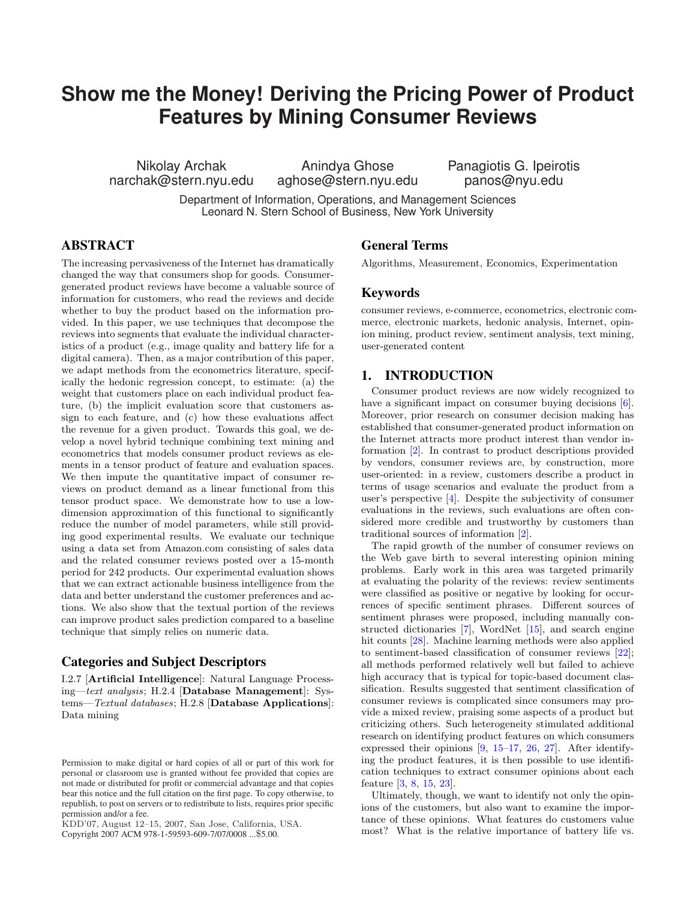# **Show me the Money! Deriving the Pricing Power of Product Features by Mining Consumer Reviews**

Nikolay Archak narchak@stern.nyu.edu

Anindya Ghose aghose@stern.nyu.edu Panagiotis G. Ipeirotis panos@nyu.edu

Department of Information, Operations, and Management Sciences Leonard N. Stern School of Business, New York University

# ABSTRACT

The increasing pervasiveness of the Internet has dramatically changed the way that consumers shop for goods. Consumergenerated product reviews have become a valuable source of information for customers, who read the reviews and decide whether to buy the product based on the information provided. In this paper, we use techniques that decompose the reviews into segments that evaluate the individual characteristics of a product (e.g., image quality and battery life for a digital camera). Then, as a major contribution of this paper, we adapt methods from the econometrics literature, specifically the hedonic regression concept, to estimate: (a) the weight that customers place on each individual product feature, (b) the implicit evaluation score that customers assign to each feature, and (c) how these evaluations affect the revenue for a given product. Towards this goal, we develop a novel hybrid technique combining text mining and econometrics that models consumer product reviews as elements in a tensor product of feature and evaluation spaces. We then impute the quantitative impact of consumer reviews on product demand as a linear functional from this tensor product space. We demonstrate how to use a lowdimension approximation of this functional to significantly reduce the number of model parameters, while still providing good experimental results. We evaluate our technique using a data set from Amazon.com consisting of sales data and the related consumer reviews posted over a 15-month period for 242 products. Our experimental evaluation shows that we can extract actionable business intelligence from the data and better understand the customer preferences and actions. We also show that the textual portion of the reviews can improve product sales prediction compared to a baseline technique that simply relies on numeric data.

## Categories and Subject Descriptors

I.2.7 [Artificial Intelligence]: Natural Language Processing—text analysis; H.2.4 [Database Management]: Systems—Textual databases; H.2.8 [Database Applications]: Data mining

KDD'07, August 12–15, 2007, San Jose, California, USA. Copyright 2007 ACM 978-1-59593-609-7/07/0008 ...\$5.00.

# General Terms

Algorithms, Measurement, Economics, Experimentation

## Keywords

consumer reviews, e-commerce, econometrics, electronic commerce, electronic markets, hedonic analysis, Internet, opinion mining, product review, sentiment analysis, text mining, user-generated content

# 1. INTRODUCTION

Consumer product reviews are now widely recognized to have a significant impact on consumer buying decisions [\[6\]](#page-9-0). Moreover, prior research on consumer decision making has established that consumer-generated product information on the Internet attracts more product interest than vendor information [\[2\]](#page-9-1). In contrast to product descriptions provided by vendors, consumer reviews are, by construction, more user-oriented: in a review, customers describe a product in terms of usage scenarios and evaluate the product from a user's perspective [\[4\]](#page-9-2). Despite the subjectivity of consumer evaluations in the reviews, such evaluations are often considered more credible and trustworthy by customers than traditional sources of information [\[2\]](#page-9-1).

The rapid growth of the number of consumer reviews on the Web gave birth to several interesting opinion mining problems. Early work in this area was targeted primarily at evaluating the polarity of the reviews: review sentiments were classified as positive or negative by looking for occurrences of specific sentiment phrases. Different sources of sentiment phrases were proposed, including manually constructed dictionaries [\[7\]](#page-9-3), WordNet [\[15\]](#page-9-4), and search engine hit counts [\[28\]](#page-9-5). Machine learning methods were also applied to sentiment-based classification of consumer reviews [\[22\]](#page-9-6); all methods performed relatively well but failed to achieve high accuracy that is typical for topic-based document classification. Results suggested that sentiment classification of consumer reviews is complicated since consumers may provide a mixed review, praising some aspects of a product but criticizing others. Such heterogeneity stimulated additional research on identifying product features on which consumers expressed their opinions [\[9,](#page-9-7) [15](#page-9-4)[–17,](#page-9-8) [26,](#page-9-9) [27\]](#page-9-10). After identifying the product features, it is then possible to use identification techniques to extract consumer opinions about each feature [\[3,](#page-9-11) [8,](#page-9-12) [15,](#page-9-4) [23\]](#page-9-13).

Ultimately, though, we want to identify not only the opinions of the customers, but also want to examine the importance of these opinions. What features do customers value most? What is the relative importance of battery life vs.

Permission to make digital or hard copies of all or part of this work for personal or classroom use is granted without fee provided that copies are not made or distributed for profit or commercial advantage and that copies bear this notice and the full citation on the first page. To copy otherwise, to republish, to post on servers or to redistribute to lists, requires prior specific permission and/or a fee.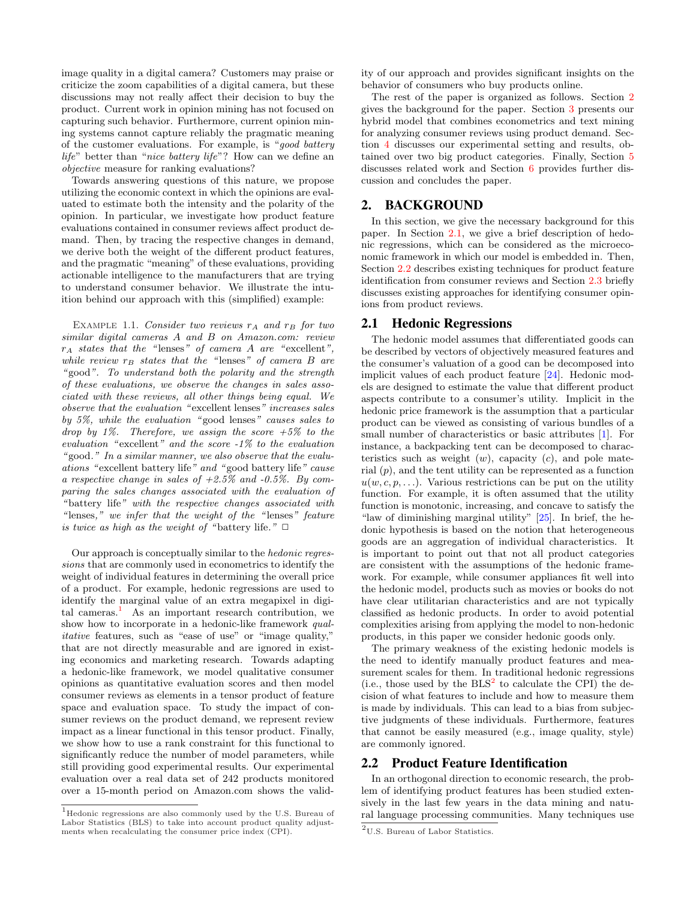image quality in a digital camera? Customers may praise or criticize the zoom capabilities of a digital camera, but these discussions may not really affect their decision to buy the product. Current work in opinion mining has not focused on capturing such behavior. Furthermore, current opinion mining systems cannot capture reliably the pragmatic meaning of the customer evaluations. For example, is "good battery life" better than "nice battery life"? How can we define an objective measure for ranking evaluations?

Towards answering questions of this nature, we propose utilizing the economic context in which the opinions are evaluated to estimate both the intensity and the polarity of the opinion. In particular, we investigate how product feature evaluations contained in consumer reviews affect product demand. Then, by tracing the respective changes in demand, we derive both the weight of the different product features, and the pragmatic "meaning" of these evaluations, providing actionable intelligence to the manufacturers that are trying to understand consumer behavior. We illustrate the intuition behind our approach with this (simplified) example:

EXAMPLE 1.1. Consider two reviews  $r_A$  and  $r_B$  for two similar digital cameras A and B on Amazon.com: review  $r_A$  states that the "lenses" of camera A are "excellent", while review  $r_B$  states that the "lenses" of camera  $B$  are "good". To understand both the polarity and the strength of these evaluations, we observe the changes in sales associated with these reviews, all other things being equal. We observe that the evaluation " excellent lenses" increases sales by 5%, while the evaluation " good lenses" causes sales to drop by 1%. Therefore, we assign the score  $+5\%$  to the evaluation "excellent" and the score -1% to the evaluation "good." In a similar manner, we also observe that the evaluations "excellent battery life" and "good battery life" cause a respective change in sales of  $+2.5\%$  and  $-0.5\%$ . By comparing the sales changes associated with the evaluation of " battery life" with the respective changes associated with "lenses," we infer that the weight of the "lenses" feature is twice as high as the weight of "battery life."  $\Box$ 

Our approach is conceptually similar to the hedonic regressions that are commonly used in econometrics to identify the weight of individual features in determining the overall price of a product. For example, hedonic regressions are used to identify the marginal value of an extra megapixel in digi-tal cameras.<sup>[1](#page-1-0)</sup> As an important research contribution, we show how to incorporate in a hedonic-like framework qualitative features, such as "ease of use" or "image quality," that are not directly measurable and are ignored in existing economics and marketing research. Towards adapting a hedonic-like framework, we model qualitative consumer opinions as quantitative evaluation scores and then model consumer reviews as elements in a tensor product of feature space and evaluation space. To study the impact of consumer reviews on the product demand, we represent review impact as a linear functional in this tensor product. Finally, we show how to use a rank constraint for this functional to significantly reduce the number of model parameters, while still providing good experimental results. Our experimental evaluation over a real data set of 242 products monitored over a 15-month period on Amazon.com shows the validity of our approach and provides significant insights on the behavior of consumers who buy products online.

The rest of the paper is organized as follows. Section [2](#page-1-1) gives the background for the paper. Section [3](#page-2-0) presents our hybrid model that combines econometrics and text mining for analyzing consumer reviews using product demand. Section [4](#page-5-0) discusses our experimental setting and results, obtained over two big product categories. Finally, Section [5](#page-8-0) discusses related work and Section [6](#page-8-1) provides further discussion and concludes the paper.

## <span id="page-1-1"></span>2. BACKGROUND

In this section, we give the necessary background for this paper. In Section [2.1,](#page-1-2) we give a brief description of hedonic regressions, which can be considered as the microeconomic framework in which our model is embedded in. Then, Section [2.2](#page-1-3) describes existing techniques for product feature identification from consumer reviews and Section [2.3](#page-2-1) briefly discusses existing approaches for identifying consumer opinions from product reviews.

## <span id="page-1-2"></span>2.1 Hedonic Regressions

The hedonic model assumes that differentiated goods can be described by vectors of objectively measured features and the consumer's valuation of a good can be decomposed into implicit values of each product feature [\[24\]](#page-9-14). Hedonic models are designed to estimate the value that different product aspects contribute to a consumer's utility. Implicit in the hedonic price framework is the assumption that a particular product can be viewed as consisting of various bundles of a small number of characteristics or basic attributes [\[1\]](#page-9-15). For instance, a backpacking tent can be decomposed to characteristics such as weight  $(w)$ , capacity  $(c)$ , and pole material  $(p)$ , and the tent utility can be represented as a function  $u(w, c, p, \ldots)$ . Various restrictions can be put on the utility function. For example, it is often assumed that the utility function is monotonic, increasing, and concave to satisfy the "law of diminishing marginal utility"  $[25]$ . In brief, the hedonic hypothesis is based on the notion that heterogeneous goods are an aggregation of individual characteristics. It is important to point out that not all product categories are consistent with the assumptions of the hedonic framework. For example, while consumer appliances fit well into the hedonic model, products such as movies or books do not have clear utilitarian characteristics and are not typically classified as hedonic products. In order to avoid potential complexities arising from applying the model to non-hedonic products, in this paper we consider hedonic goods only.

The primary weakness of the existing hedonic models is the need to identify manually product features and measurement scales for them. In traditional hedonic regressions (i.e., those used by the  $BLS<sup>2</sup>$  $BLS<sup>2</sup>$  $BLS<sup>2</sup>$  to calculate the CPI) the decision of what features to include and how to measure them is made by individuals. This can lead to a bias from subjective judgments of these individuals. Furthermore, features that cannot be easily measured (e.g., image quality, style) are commonly ignored.

## <span id="page-1-3"></span>2.2 Product Feature Identification

In an orthogonal direction to economic research, the problem of identifying product features has been studied extensively in the last few years in the data mining and natural language processing communities. Many techniques use

<span id="page-1-0"></span><sup>1</sup>Hedonic regressions are also commonly used by the U.S. Bureau of Labor Statistics (BLS) to take into account product quality adjustments when recalculating the consumer price index (CPI).

<span id="page-1-4"></span> $^2 \rm U.S.$  Bureau of Labor Statistics.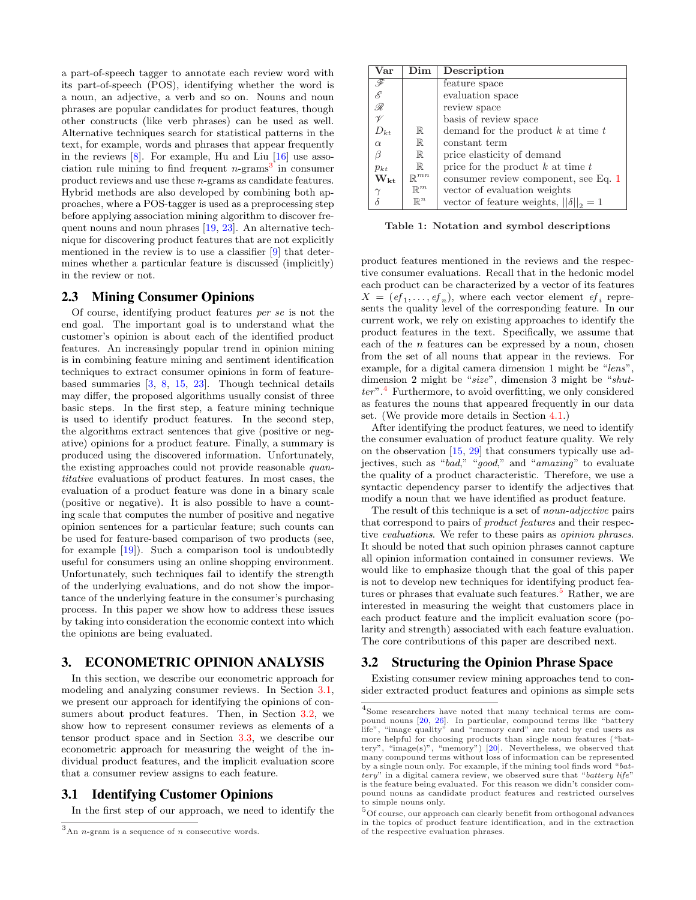a part-of-speech tagger to annotate each review word with its part-of-speech (POS), identifying whether the word is a noun, an adjective, a verb and so on. Nouns and noun phrases are popular candidates for product features, though other constructs (like verb phrases) can be used as well. Alternative techniques search for statistical patterns in the text, for example, words and phrases that appear frequently in the reviews [\[8\]](#page-9-12). For example, Hu and Liu [\[16\]](#page-9-17) use association rule mining to find frequent  $n$ -grams<sup>[3](#page-2-2)</sup> in consumer product reviews and use these n-grams as candidate features. Hybrid methods are also developed by combining both approaches, where a POS-tagger is used as a preprocessing step before applying association mining algorithm to discover frequent nouns and noun phrases [\[19,](#page-9-18) [23\]](#page-9-13). An alternative technique for discovering product features that are not explicitly mentioned in the review is to use a classifier [\[9\]](#page-9-7) that determines whether a particular feature is discussed (implicitly) in the review or not.

## <span id="page-2-1"></span>2.3 Mining Consumer Opinions

Of course, identifying product features per se is not the end goal. The important goal is to understand what the customer's opinion is about each of the identified product features. An increasingly popular trend in opinion mining is in combining feature mining and sentiment identification techniques to extract consumer opinions in form of featurebased summaries [\[3,](#page-9-11) [8,](#page-9-12) [15,](#page-9-4) [23\]](#page-9-13). Though technical details may differ, the proposed algorithms usually consist of three basic steps. In the first step, a feature mining technique is used to identify product features. In the second step, the algorithms extract sentences that give (positive or negative) opinions for a product feature. Finally, a summary is produced using the discovered information. Unfortunately, the existing approaches could not provide reasonable quantitative evaluations of product features. In most cases, the evaluation of a product feature was done in a binary scale (positive or negative). It is also possible to have a counting scale that computes the number of positive and negative opinion sentences for a particular feature; such counts can be used for feature-based comparison of two products (see, for example [\[19\]](#page-9-18)). Such a comparison tool is undoubtedly useful for consumers using an online shopping environment. Unfortunately, such techniques fail to identify the strength of the underlying evaluations, and do not show the importance of the underlying feature in the consumer's purchasing process. In this paper we show how to address these issues by taking into consideration the economic context into which the opinions are being evaluated.

## <span id="page-2-0"></span>3. ECONOMETRIC OPINION ANALYSIS

In this section, we describe our econometric approach for modeling and analyzing consumer reviews. In Section [3.1,](#page-2-3) we present our approach for identifying the opinions of consumers about product features. Then, in Section [3.2,](#page-2-4) we show how to represent consumer reviews as elements of a tensor product space and in Section [3.3,](#page-3-0) we describe our econometric approach for measuring the weight of the individual product features, and the implicit evaluation score that a consumer review assigns to each feature.

## <span id="page-2-3"></span>3.1 Identifying Customer Opinions

In the first step of our approach, we need to identify the

| Var          | Dim               | Description                                   |
|--------------|-------------------|-----------------------------------------------|
| .F           |                   | feature space                                 |
| E            |                   | evaluation space                              |
| R            |                   | review space                                  |
|              |                   | basis of review space                         |
| $D_{kt}$     | $\mathbb R$       | demand for the product $k$ at time $t$        |
| $\alpha$     | $\mathbb R$       | constant term                                 |
| ß            | $\mathbb R$       | price elasticity of demand                    |
| $p_{kt}$     | $\mathbb R$       | price for the product $k$ at time $t$         |
| $\rm W_{kt}$ | $\mathbb{R}^{mn}$ | consumer review component, see Eq. 1          |
|              | $\mathbb{R}^m$    | vector of evaluation weights                  |
|              | $\mathbb{R}^n$    | vector of feature weights, $  \delta  _2 = 1$ |

Table 1: Notation and symbol descriptions

product features mentioned in the reviews and the respective consumer evaluations. Recall that in the hedonic model each product can be characterized by a vector of its features  $X = (ef_1, \ldots, ef_n)$ , where each vector element  $ef_i$  represents the quality level of the corresponding feature. In our current work, we rely on existing approaches to identify the product features in the text. Specifically, we assume that each of the  $n$  features can be expressed by a noun, chosen from the set of all nouns that appear in the reviews. For example, for a digital camera dimension 1 might be "lens", dimension 2 might be "size", dimension 3 might be "shut $ter$ ".<sup>[4](#page-2-5)</sup> Furthermore, to avoid overfitting, we only considered as features the nouns that appeared frequently in our data set. (We provide more details in Section [4.1.](#page-5-1))

After identifying the product features, we need to identify the consumer evaluation of product feature quality. We rely on the observation [\[15,](#page-9-4) [29\]](#page-9-19) that consumers typically use adjectives, such as "bad," "good," and "amazing" to evaluate the quality of a product characteristic. Therefore, we use a syntactic dependency parser to identify the adjectives that modify a noun that we have identified as product feature.

The result of this technique is a set of *noun-adjective* pairs that correspond to pairs of product features and their respective evaluations. We refer to these pairs as opinion phrases. It should be noted that such opinion phrases cannot capture all opinion information contained in consumer reviews. We would like to emphasize though that the goal of this paper is not to develop new techniques for identifying product fea-tures or phrases that evaluate such features.<sup>[5](#page-2-6)</sup> Rather, we are interested in measuring the weight that customers place in each product feature and the implicit evaluation score (polarity and strength) associated with each feature evaluation. The core contributions of this paper are described next.

## <span id="page-2-4"></span>3.2 Structuring the Opinion Phrase Space

Existing consumer review mining approaches tend to consider extracted product features and opinions as simple sets

<span id="page-2-2"></span> $3$ An *n*-gram is a sequence of *n* consecutive words.

<span id="page-2-5"></span><sup>4</sup> Some researchers have noted that many technical terms are compound nouns [\[20,](#page-9-20) [26\]](#page-9-9). In particular, compound terms like "battery life", "image quality" and "memory card" are rated by end users as more helpful for choosing products than single noun features ("battery", "image(s)", "memory") [\[20\]](#page-9-20). Nevertheless, we observed that many compound terms without loss of information can be represented by a single noun only. For example, if the mining tool finds word "battery" in a digital camera review, we observed sure that "battery life" is the feature being evaluated. For this reason we didn't consider compound nouns as candidate product features and restricted ourselves to simple nouns only.

<span id="page-2-6"></span> $5$ Of course, our approach can clearly benefit from orthogonal advances in the topics of product feature identification, and in the extraction of the respective evaluation phrases.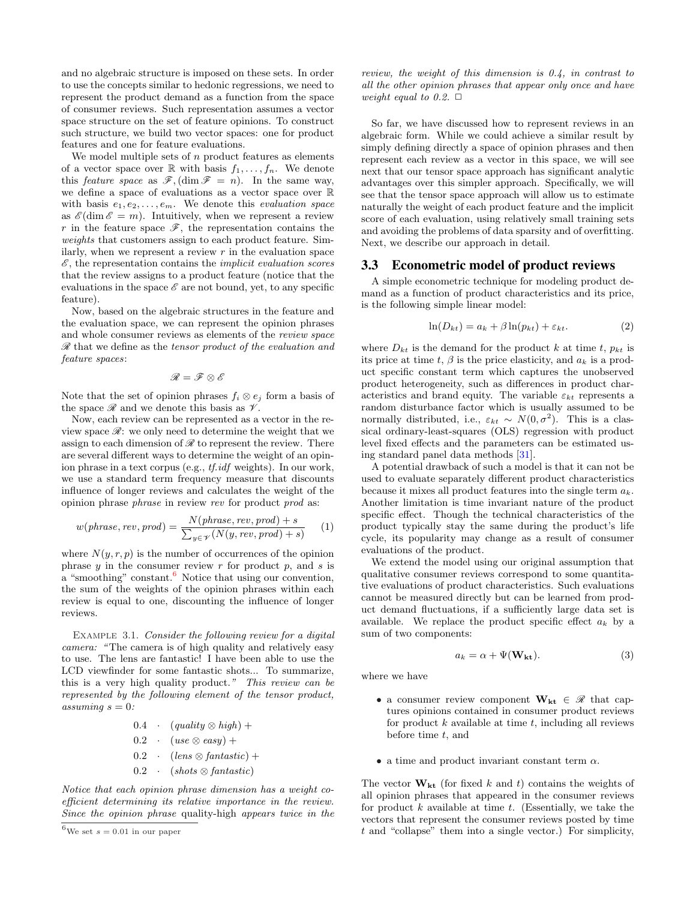and no algebraic structure is imposed on these sets. In order to use the concepts similar to hedonic regressions, we need to represent the product demand as a function from the space of consumer reviews. Such representation assumes a vector space structure on the set of feature opinions. To construct such structure, we build two vector spaces: one for product features and one for feature evaluations.

We model multiple sets of  $n$  product features as elements of a vector space over  $\mathbb R$  with basis  $f_1, \ldots, f_n$ . We denote this *feature space* as  $\mathscr{F}$ , (dim  $\mathscr{F} = n$ ). In the same way, we define a space of evaluations as a vector space over R with basis  $e_1, e_2, \ldots, e_m$ . We denote this *evaluation space* as  $\mathscr{E}(\dim \mathscr{E} = m)$ . Intuitively, when we represent a review r in the feature space  $\mathscr{F}$ , the representation contains the weights that customers assign to each product feature. Similarly, when we represent a review  $r$  in the evaluation space  $\mathscr E$ , the representation contains the *implicit evaluation scores* that the review assigns to a product feature (notice that the evaluations in the space  $\mathscr E$  are not bound, yet, to any specific feature).

Now, based on the algebraic structures in the feature and the evaluation space, we can represent the opinion phrases and whole consumer reviews as elements of the review space  $\mathscr R$  that we define as the tensor product of the evaluation and feature spaces:

$$
\mathscr{R}=\mathscr{F}\otimes\mathscr{E}
$$

Note that the set of opinion phrases  $f_i \otimes e_j$  form a basis of the space  $\mathscr R$  and we denote this basis as  $\mathscr V$ .

Now, each review can be represented as a vector in the review space  $\mathscr{R}$ : we only need to determine the weight that we assign to each dimension of  $\mathscr R$  to represent the review. There are several different ways to determine the weight of an opinion phrase in a text corpus (e.g., tf.idf weights). In our work, we use a standard term frequency measure that discounts influence of longer reviews and calculates the weight of the opinion phrase phrase in review rev for product prod as:

<span id="page-3-1"></span>
$$
w(phrase, rev, prod) = \frac{N(phrase, rev, prod) + s}{\sum_{y \in \mathcal{V}} (N(y, rev, prod) + s)} \tag{1}
$$

where  $N(y, r, p)$  is the number of occurrences of the opinion phrase  $y$  in the consumer review  $r$  for product  $p$ , and  $s$  is a "smoothing" constant.<sup>[6](#page-3-2)</sup> Notice that using our convention, the sum of the weights of the opinion phrases within each review is equal to one, discounting the influence of longer reviews.

EXAMPLE 3.1. Consider the following review for a digital camera: "The camera is of high quality and relatively easy to use. The lens are fantastic! I have been able to use the LCD viewfinder for some fantastic shots... To summarize, this is a very high quality product." This review can be represented by the following element of the tensor product, assuming  $s = 0$ :

$$
0.4 \cdot (quality \otimes high) +\n0.2 \cdot (use \otimes easy) +\n0.2 \cdot (lens \otimes fantastic) +\n0.2 \cdot (shots \otimes fantastic)
$$

Notice that each opinion phrase dimension has a weight coefficient determining its relative importance in the review. Since the opinion phrase quality-high appears twice in the review, the weight of this dimension is 0.4, in contrast to all the other opinion phrases that appear only once and have weight equal to 0.2.  $\Box$ 

So far, we have discussed how to represent reviews in an algebraic form. While we could achieve a similar result by simply defining directly a space of opinion phrases and then represent each review as a vector in this space, we will see next that our tensor space approach has significant analytic advantages over this simpler approach. Specifically, we will see that the tensor space approach will allow us to estimate naturally the weight of each product feature and the implicit score of each evaluation, using relatively small training sets and avoiding the problems of data sparsity and of overfitting. Next, we describe our approach in detail.

#### <span id="page-3-0"></span>3.3 Econometric model of product reviews

A simple econometric technique for modeling product demand as a function of product characteristics and its price, is the following simple linear model:

<span id="page-3-4"></span>
$$
\ln(D_{kt}) = a_k + \beta \ln(p_{kt}) + \varepsilon_{kt}.
$$
 (2)

where  $D_{kt}$  is the demand for the product k at time t,  $p_{kt}$  is its price at time t,  $\beta$  is the price elasticity, and  $a_k$  is a product specific constant term which captures the unobserved product heterogeneity, such as differences in product characteristics and brand equity. The variable  $\varepsilon_{kt}$  represents a random disturbance factor which is usually assumed to be normally distributed, i.e.,  $\varepsilon_{kt} \sim N(0, \sigma^2)$ . This is a classical ordinary-least-squares (OLS) regression with product level fixed effects and the parameters can be estimated using standard panel data methods [\[31\]](#page-9-21).

A potential drawback of such a model is that it can not be used to evaluate separately different product characteristics because it mixes all product features into the single term  $a_k$ . Another limitation is time invariant nature of the product specific effect. Though the technical characteristics of the product typically stay the same during the product's life cycle, its popularity may change as a result of consumer evaluations of the product.

We extend the model using our original assumption that qualitative consumer reviews correspond to some quantitative evaluations of product characteristics. Such evaluations cannot be measured directly but can be learned from product demand fluctuations, if a sufficiently large data set is available. We replace the product specific effect  $a_k$  by a sum of two components:

<span id="page-3-3"></span>
$$
a_k = \alpha + \Psi(\mathbf{W_{kt}}). \tag{3}
$$

where we have

- a consumer review component  $W_{kt} \in \mathcal{R}$  that captures opinions contained in consumer product reviews for product  $k$  available at time  $t$ , including all reviews before time  $t$ , and
- a time and product invariant constant term  $\alpha$ .

The vector  $\mathbf{W}_{\mathbf{k}t}$  (for fixed k and t) contains the weights of all opinion phrases that appeared in the consumer reviews for product  $k$  available at time  $t$ . (Essentially, we take the vectors that represent the consumer reviews posted by time t and "collapse" them into a single vector.) For simplicity,

<span id="page-3-2"></span> $^{6}$ We set  $s = 0.01$  in our paper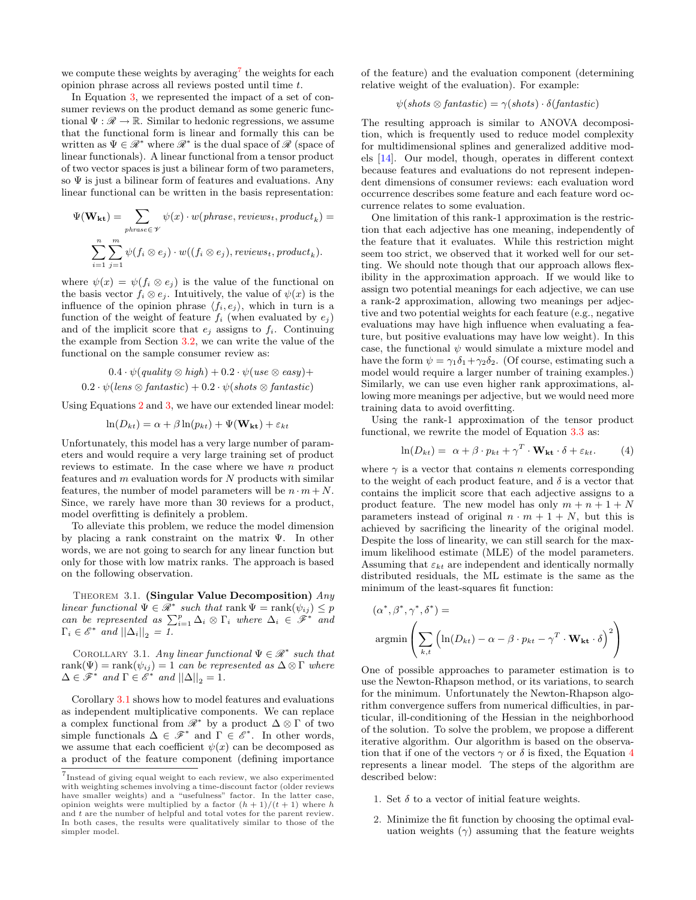we compute these weights by averaging<sup>[7](#page-4-0)</sup> the weights for each opinion phrase across all reviews posted until time t.

In Equation [3,](#page-3-3) we represented the impact of a set of consumer reviews on the product demand as some generic functional  $\Psi : \mathscr{R} \to \mathbb{R}$ . Similar to hedonic regressions, we assume that the functional form is linear and formally this can be written as  $\Psi \in \mathcal{R}^*$  where  $\mathcal{R}^*$  is the dual space of  $\mathcal{R}$  (space of linear functionals). A linear functional from a tensor product of two vector spaces is just a bilinear form of two parameters, so  $\Psi$  is just a bilinear form of features and evaluations. Any linear functional can be written in the basis representation:

$$
\Psi(\mathbf{W}_{\mathbf{k}\mathbf{t}}) = \sum_{\text{phrase} \in \mathcal{V}} \psi(x) \cdot w(\text{phrase}, \text{review}_{t}, \text{product}_{k}) =
$$

$$
\sum_{i=1}^{n} \sum_{j=1}^{m} \psi(f_i \otimes e_j) \cdot w((f_i \otimes e_j), \text{review}_{t}, \text{product}_{k}).
$$

where  $\psi(x) = \psi(f_i \otimes e_j)$  is the value of the functional on the basis vector  $f_i \otimes e_j$ . Intuitively, the value of  $\psi(x)$  is the influence of the opinion phrase  $\langle f_i, e_j \rangle$ , which in turn is a function of the weight of feature  $f_i$  (when evaluated by  $e_j$ ) and of the implicit score that  $e_j$  assigns to  $f_i$ . Continuing the example from Section [3.2,](#page-2-4) we can write the value of the functional on the sample consumer review as:

$$
0.4 \cdot \psi(\text{quality} \otimes \text{high}) + 0.2 \cdot \psi(\text{use} \otimes \text{easy}) +
$$
  

$$
0.2 \cdot \psi(\text{lens} \otimes \text{fantastic}) + 0.2 \cdot \psi(\text{shots} \otimes \text{fantastic})
$$

Using Equations [2](#page-3-4) and [3,](#page-3-3) we have our extended linear model:

$$
\ln(D_{kt}) = \alpha + \beta \ln(p_{kt}) + \Psi(\mathbf{W_{kt}}) + \varepsilon_{kt}
$$

Unfortunately, this model has a very large number of parameters and would require a very large training set of product reviews to estimate. In the case where we have n product features and  $m$  evaluation words for  $N$  products with similar features, the number of model parameters will be  $n \cdot m + N$ . Since, we rarely have more than 30 reviews for a product, model overfitting is definitely a problem.

To alleviate this problem, we reduce the model dimension by placing a rank constraint on the matrix Ψ. In other words, we are not going to search for any linear function but only for those with low matrix ranks. The approach is based on the following observation.

THEOREM 3.1. (Singular Value Decomposition) Any linear functional  $\Psi \in \mathcal{R}^*$  such that rank  $\Psi = \text{rank}(\psi_{ij}) \leq p$ *can be represented as*  $\sum_{i=1}^{p} \Delta_i \otimes \Gamma_i$  *where*  $\Delta_i \in \mathscr{F}^*$  *and*  $\sum_{i=1}^{p} \Delta_i \otimes \Gamma_i$  *where*  $\Delta_i \in \mathscr{F}^*$  *and*  $\Gamma_i \in \mathscr{E}^*$  and  $\left| \Delta_i \right| \Big|_2 = \overline{1}.$ 

<span id="page-4-1"></span>COROLLARY 3.1. Any linear functional  $\Psi \in \mathcal{R}^*$  such that  $rank(\Psi) = rank(\psi_{ij}) = 1$  can be represented as  $\Delta \otimes \Gamma$  where  $\Delta \in \mathscr{F}^*$  and  $\Gamma \in \mathscr{E}^*$  and  $||\Delta||_2 = 1$ .

Corollary [3.1](#page-4-1) shows how to model features and evaluations as independent multiplicative components. We can replace a complex functional from  $\mathscr{R}^*$  by a product  $\Delta \otimes \Gamma$  of two simple functionals  $\Delta \in \mathscr{F}^*$  and  $\Gamma \in \mathscr{E}^*$ . In other words, we assume that each coefficient  $\psi(x)$  can be decomposed as a product of the feature component (defining importance of the feature) and the evaluation component (determining relative weight of the evaluation). For example:

$$
\psi(shots \otimesfantastic) = \gamma(shots) \cdot \delta(fantastic)
$$

The resulting approach is similar to ANOVA decomposition, which is frequently used to reduce model complexity for multidimensional splines and generalized additive models [\[14\]](#page-9-22). Our model, though, operates in different context because features and evaluations do not represent independent dimensions of consumer reviews: each evaluation word occurrence describes some feature and each feature word occurrence relates to some evaluation.

One limitation of this rank-1 approximation is the restriction that each adjective has one meaning, independently of the feature that it evaluates. While this restriction might seem too strict, we observed that it worked well for our setting. We should note though that our approach allows flexibility in the approximation approach. If we would like to assign two potential meanings for each adjective, we can use a rank-2 approximation, allowing two meanings per adjective and two potential weights for each feature (e.g., negative evaluations may have high influence when evaluating a feature, but positive evaluations may have low weight). In this case, the functional  $\psi$  would simulate a mixture model and have the form  $\psi = \gamma_1 \delta_1 + \gamma_2 \delta_2$ . (Of course, estimating such a model would require a larger number of training examples.) Similarly, we can use even higher rank approximations, allowing more meanings per adjective, but we would need more training data to avoid overfitting.

Using the rank-1 approximation of the tensor product functional, we rewrite the model of Equation [3.3](#page-3-3) as:

<span id="page-4-2"></span>
$$
\ln(D_{kt}) = \alpha + \beta \cdot p_{kt} + \gamma^T \cdot \mathbf{W_{kt}} \cdot \delta + \varepsilon_{kt}.
$$
 (4)

where  $\gamma$  is a vector that contains n elements corresponding to the weight of each product feature, and  $\delta$  is a vector that contains the implicit score that each adjective assigns to a product feature. The new model has only  $m + n + 1 + N$ parameters instead of original  $n \cdot m + 1 + N$ , but this is achieved by sacrificing the linearity of the original model. Despite the loss of linearity, we can still search for the maximum likelihood estimate (MLE) of the model parameters. Assuming that  $\varepsilon_{kt}$  are independent and identically normally distributed residuals, the ML estimate is the same as the minimum of the least-squares fit function:

$$
(\alpha^*, \beta^*, \gamma^*, \delta^*) =
$$
  
argmin
$$
\left(\sum_{k,t} \left(\ln(D_{kt}) - \alpha - \beta \cdot p_{kt} - \gamma^T \cdot \mathbf{W}_{kt} \cdot \delta\right)^2\right)
$$

One of possible approaches to parameter estimation is to use the Newton-Rhapson method, or its variations, to search for the minimum. Unfortunately the Newton-Rhapson algorithm convergence suffers from numerical difficulties, in particular, ill-conditioning of the Hessian in the neighborhood of the solution. To solve the problem, we propose a different iterative algorithm. Our algorithm is based on the observation that if one of the vectors  $\gamma$  or  $\delta$  is fixed, the Equation [4](#page-4-2) represents a linear model. The steps of the algorithm are described below:

- 1. Set  $\delta$  to a vector of initial feature weights.
- <span id="page-4-3"></span>2. Minimize the fit function by choosing the optimal evaluation weights  $(\gamma)$  assuming that the feature weights

<span id="page-4-0"></span><sup>&</sup>lt;sup>7</sup>Instead of giving equal weight to each review, we also experimented with weighting schemes involving a time-discount factor (older reviews have smaller weights) and a "usefulness" factor. In the latter case, opinion weights were multiplied by a factor  $(h + 1)/(t + 1)$  where h and  $t$  are the number of helpful and total votes for the parent review. In both cases, the results were qualitatively similar to those of the simpler model.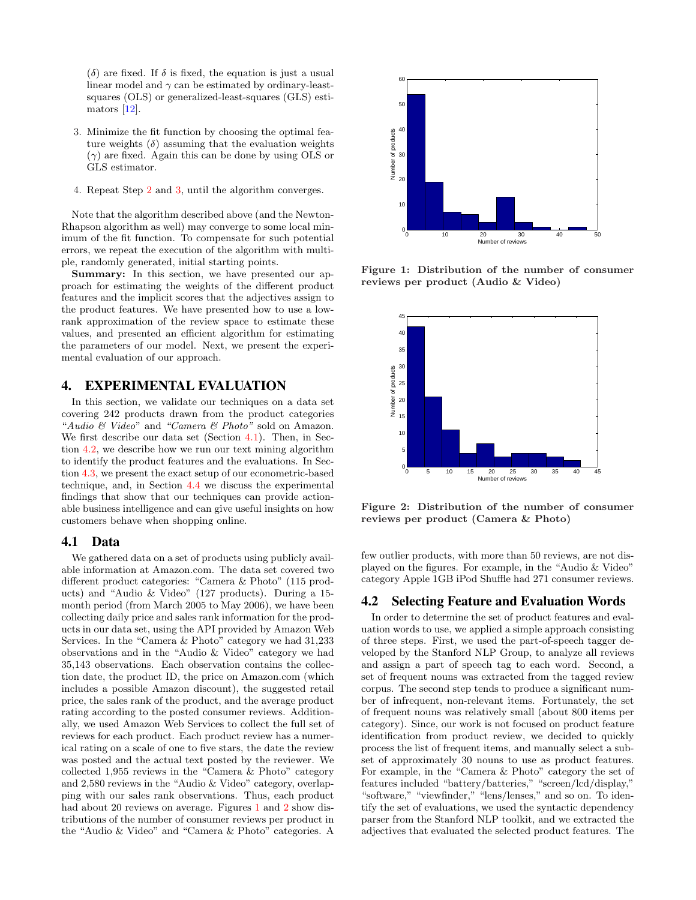( $\delta$ ) are fixed. If  $\delta$  is fixed, the equation is just a usual linear model and  $\gamma$  can be estimated by ordinary-leastsquares (OLS) or generalized-least-squares (GLS) estimators [\[12\]](#page-9-23).

- <span id="page-5-2"></span>3. Minimize the fit function by choosing the optimal feature weights  $(\delta)$  assuming that the evaluation weights  $(\gamma)$  are fixed. Again this can be done by using OLS or GLS estimator.
- 4. Repeat Step [2](#page-4-3) and [3,](#page-5-2) until the algorithm converges.

Note that the algorithm described above (and the Newton-Rhapson algorithm as well) may converge to some local minimum of the fit function. To compensate for such potential errors, we repeat the execution of the algorithm with multiple, randomly generated, initial starting points.

Summary: In this section, we have presented our approach for estimating the weights of the different product features and the implicit scores that the adjectives assign to the product features. We have presented how to use a lowrank approximation of the review space to estimate these values, and presented an efficient algorithm for estimating the parameters of our model. Next, we present the experimental evaluation of our approach.

## <span id="page-5-0"></span>4. EXPERIMENTAL EVALUATION

In this section, we validate our techniques on a data set covering 242 products drawn from the product categories "Audio & Video" and "Camera & Photo" sold on Amazon. We first describe our data set (Section [4.1\)](#page-5-1). Then, in Section [4.2,](#page-5-3) we describe how we run our text mining algorithm to identify the product features and the evaluations. In Section [4.3,](#page-6-0) we present the exact setup of our econometric-based technique, and, in Section [4.4](#page-6-1) we discuss the experimental findings that show that our techniques can provide actionable business intelligence and can give useful insights on how customers behave when shopping online.

#### <span id="page-5-1"></span>4.1 Data

We gathered data on a set of products using publicly available information at Amazon.com. The data set covered two different product categories: "Camera & Photo" (115 products) and "Audio & Video" (127 products). During a 15 month period (from March 2005 to May 2006), we have been collecting daily price and sales rank information for the products in our data set, using the API provided by Amazon Web Services. In the "Camera & Photo" category we had 31,233 observations and in the "Audio & Video" category we had 35,143 observations. Each observation contains the collection date, the product ID, the price on Amazon.com (which includes a possible Amazon discount), the suggested retail price, the sales rank of the product, and the average product rating according to the posted consumer reviews. Additionally, we used Amazon Web Services to collect the full set of reviews for each product. Each product review has a numerical rating on a scale of one to five stars, the date the review was posted and the actual text posted by the reviewer. We collected 1,955 reviews in the "Camera & Photo" category and 2,580 reviews in the "Audio & Video" category, overlapping with our sales rank observations. Thus, each product had about 20 reviews on average. Figures [1](#page-5-4) and [2](#page-5-5) show distributions of the number of consumer reviews per product in the "Audio & Video" and "Camera & Photo" categories. A



<span id="page-5-4"></span>Figure 1: Distribution of the number of consumer reviews per product (Audio & Video)



<span id="page-5-5"></span>Figure 2: Distribution of the number of consumer reviews per product (Camera & Photo)

few outlier products, with more than 50 reviews, are not displayed on the figures. For example, in the "Audio & Video" category Apple 1GB iPod Shuffle had 271 consumer reviews.

#### <span id="page-5-3"></span>4.2 Selecting Feature and Evaluation Words

In order to determine the set of product features and evaluation words to use, we applied a simple approach consisting of three steps. First, we used the part-of-speech tagger developed by the Stanford NLP Group, to analyze all reviews and assign a part of speech tag to each word. Second, a set of frequent nouns was extracted from the tagged review corpus. The second step tends to produce a significant number of infrequent, non-relevant items. Fortunately, the set of frequent nouns was relatively small (about 800 items per category). Since, our work is not focused on product feature identification from product review, we decided to quickly process the list of frequent items, and manually select a subset of approximately 30 nouns to use as product features. For example, in the "Camera & Photo" category the set of features included "battery/batteries," "screen/lcd/display," "software," "viewfinder," "lens/lenses," and so on. To identify the set of evaluations, we used the syntactic dependency parser from the Stanford NLP toolkit, and we extracted the adjectives that evaluated the selected product features. The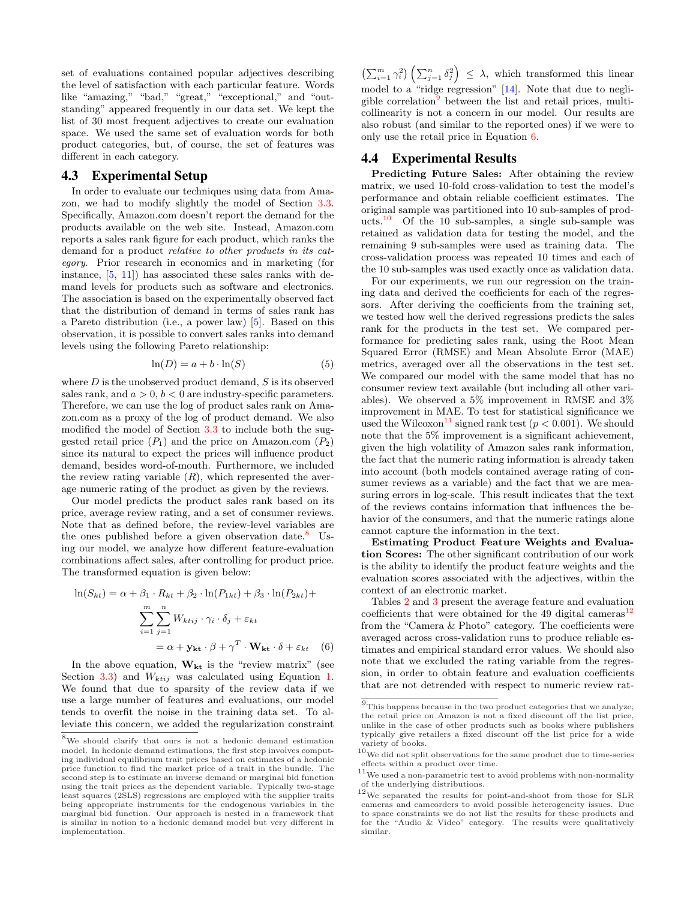set of evaluations contained popular adjectives describing the level of satisfaction with each particular feature. Words like "amazing," "bad," "great," "exceptional," and "outstanding" appeared frequently in our data set. We kept the list of 30 most frequent adjectives to create our evaluation space. We used the same set of evaluation words for both product categories, but, of course, the set of features was different in each category.

#### <span id="page-6-0"></span>4.3 Experimental Setup

In order to evaluate our techniques using data from Amazon, we had to modify slightly the model of Section [3.3.](#page-3-0) Specifically, Amazon.com doesn't report the demand for the products available on the web site. Instead, Amazon.com reports a sales rank figure for each product, which ranks the demand for a product relative to other products in its category. Prior research in economics and in marketing (for instance,  $[5, 11]$  $[5, 11]$  $[5, 11]$  has associated these sales ranks with demand levels for products such as software and electronics. The association is based on the experimentally observed fact that the distribution of demand in terms of sales rank has a Pareto distribution (i.e., a power law) [\[5\]](#page-9-24). Based on this observation, it is possible to convert sales ranks into demand levels using the following Pareto relationship:

$$
\ln(D) = a + b \cdot \ln(S) \tag{5}
$$

where  $D$  is the unobserved product demand,  $S$  is its observed sales rank, and  $a > 0$ ,  $b < 0$  are industry-specific parameters. Therefore, we can use the log of product sales rank on Amazon.com as a proxy of the log of product demand. We also modified the model of Section [3.3](#page-3-0) to include both the suggested retail price  $(P_1)$  and the price on Amazon.com  $(P_2)$ since its natural to expect the prices will influence product demand, besides word-of-mouth. Furthermore, we included the review rating variable  $(R)$ , which represented the average numeric rating of the product as given by the reviews.

Our model predicts the product sales rank based on its price, average review rating, and a set of consumer reviews. Note that as defined before, the review-level variables are the ones published before a given observation date.<sup>[8](#page-6-2)</sup> Using our model, we analyze how different feature-evaluation combinations affect sales, after controlling for product price. The transformed equation is given below:

$$
\ln(S_{kt}) = \alpha + \beta_1 \cdot R_{kt} + \beta_2 \cdot \ln(P_{1kt}) + \beta_3 \cdot \ln(P_{2kt}) +
$$

$$
\sum_{i=1}^{m} \sum_{j=1}^{n} W_{ktij} \cdot \gamma_i \cdot \delta_j + \varepsilon_{kt}
$$

$$
= \alpha + \mathbf{y}_{kt} \cdot \beta + \gamma^T \cdot \mathbf{W}_{kt} \cdot \delta + \varepsilon_{kt} \quad (6)
$$

In the above equation,  $\mathbf{W}_{\mathbf{k}t}$  is the "review matrix" (see Section [3.3\)](#page-3-0) and  $W_{ktij}$  was calculated using Equation [1.](#page-3-1) We found that due to sparsity of the review data if we use a large number of features and evaluations, our model tends to overfit the noise in the training data set. To alleviate this concern, we added the regularization constraint

 $\left(\sum_{i=1}^m \gamma_i^2\right) \left(\sum_{j=1}^n \delta_j^2\right)$ ´  $\leq \lambda$ , which transformed this linear model to a "ridge regression" [\[14\]](#page-9-22). Note that due to negli-gible correlation<sup>[9](#page-6-3)</sup> between the list and retail prices, multicollinearity is not a concern in our model. Our results are also robust (and similar to the reported ones) if we were to only use the retail price in Equation [6.](#page-6-4)

#### <span id="page-6-1"></span>4.4 Experimental Results

Predicting Future Sales: After obtaining the review matrix, we used 10-fold cross-validation to test the model's performance and obtain reliable coefficient estimates. The original sample was partitioned into 10 sub-samples of products.[10](#page-6-5) Of the 10 sub-samples, a single sub-sample was retained as validation data for testing the model, and the remaining 9 sub-samples were used as training data. The cross-validation process was repeated 10 times and each of the 10 sub-samples was used exactly once as validation data.

For our experiments, we run our regression on the training data and derived the coefficients for each of the regressors. After deriving the coefficients from the training set, we tested how well the derived regressions predicts the sales rank for the products in the test set. We compared performance for predicting sales rank, using the Root Mean Squared Error (RMSE) and Mean Absolute Error (MAE) metrics, averaged over all the observations in the test set. We compared our model with the same model that has no consumer review text available (but including all other variables). We observed a 5% improvement in RMSE and 3% improvement in MAE. To test for statistical significance we used the Wilcoxon<sup>[11](#page-6-6)</sup> signed rank test ( $p < 0.001$ ). We should note that the 5% improvement is a significant achievement, given the high volatility of Amazon sales rank information, the fact that the numeric rating information is already taken into account (both models contained average rating of consumer reviews as a variable) and the fact that we are measuring errors in log-scale. This result indicates that the text of the reviews contains information that influences the behavior of the consumers, and that the numeric ratings alone cannot capture the information in the text.

Estimating Product Feature Weights and Evaluation Scores: The other significant contribution of our work is the ability to identify the product feature weights and the evaluation scores associated with the adjectives, within the context of an electronic market.

<span id="page-6-4"></span>Tables [2](#page-7-0) and [3](#page-7-1) present the average feature and evaluation coefficients that were obtained for the 49 digital cameras<sup>[12](#page-6-7)</sup> from the "Camera & Photo" category. The coefficients were averaged across cross-validation runs to produce reliable estimates and empirical standard error values. We should also note that we excluded the rating variable from the regression, in order to obtain feature and evaluation coefficients that are not detrended with respect to numeric review rat-

<span id="page-6-2"></span><sup>&</sup>lt;sup>8</sup>We should clarify that ours is not a hedonic demand estimation model. In hedonic demand estimations, the first step involves computing individual equilibrium trait prices based on estimates of a hedonic price function to find the market price of a trait in the bundle. The second step is to estimate an inverse demand or marginal bid function using the trait prices as the dependent variable. Typically two-stage least squares (2SLS) regressions are employed with the supplier traits being appropriate instruments for the endogenous variables in the marginal bid function. Our approach is nested in a framework that is similar in notion to a hedonic demand model but very different in implementation.

<span id="page-6-3"></span> $^9\!$  This happens because in the two product categories that we analyze, the retail price on Amazon is not a fixed discount off the list price, unlike in the case of other products such as books where publishers typically give retailers a fixed discount off the list price for a wide variety of books.

<span id="page-6-5"></span><sup>10</sup>We did not split observations for the same product due to time-series effects within a product over time.

<span id="page-6-6"></span> $11$ We used a non-parametric test to avoid problems with non-normality of the underlying distributions.

<span id="page-6-7"></span> $^{12}{\rm{We}}$  separated the results for point-and-shoot from those for SLR cameras and camcorders to avoid possible heterogeneity issues. Due to space constraints we do not list the results for these products and for the "Audio & Video" category. The results were qualitatively similar.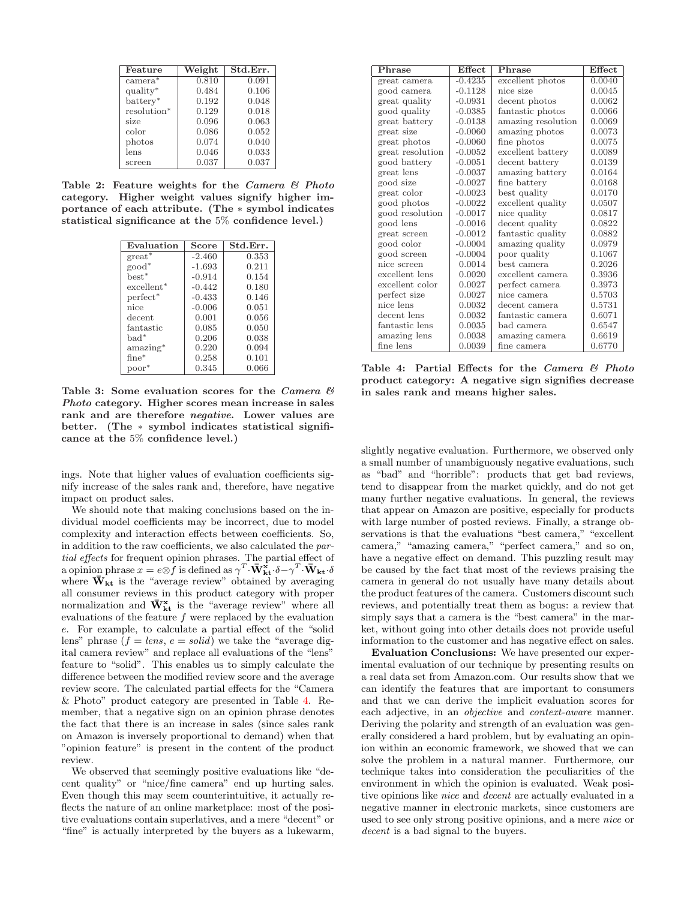| Feature              | Weight | Std.Err. |  |
|----------------------|--------|----------|--|
| camera*              | 0.810  | 0.091    |  |
| quality <sup>*</sup> | 0.484  | 0.106    |  |
| battery*             | 0.192  | 0.048    |  |
| resolution*          | 0.129  | 0.018    |  |
| size                 | 0.096  | 0.063    |  |
| color                | 0.086  | 0.052    |  |
| photos               | 0.074  | 0.040    |  |
| lens                 | 0.046  | 0.033    |  |
| screen               | 0.037  | 0.037    |  |

<span id="page-7-0"></span>Table 2: Feature weights for the Camera  $\mathcal B$  Photo category. Higher weight values signify higher importance of each attribute. (The ∗ symbol indicates statistical significance at the 5% confidence level.)

| Evaluation | Score    | Std.Err. |
|------------|----------|----------|
| $great*$   | $-2.460$ | 0.353    |
| good*      | $-1.693$ | 0.211    |
| $best*$    | $-0.914$ | 0.154    |
| excellent* | $-0.442$ | 0.180    |
| $perfect*$ | $-0.433$ | 0.146    |
| nice       | $-0.006$ | 0.051    |
| decent     | 0.001    | 0.056    |
| fantastic  | 0.085    | 0.050    |
| bad*       | 0.206    | 0.038    |
| amazing*   | 0.220    | 0.094    |
| $fine^*$   | 0.258    | 0.101    |
| $poor*$    | 0.345    | 0.066    |

<span id="page-7-1"></span>Table 3: Some evaluation scores for the Camera  $\mathcal B$ Photo category. Higher scores mean increase in sales rank and are therefore negative. Lower values are better. (The ∗ symbol indicates statistical significance at the 5% confidence level.)

ings. Note that higher values of evaluation coefficients signify increase of the sales rank and, therefore, have negative impact on product sales.

We should note that making conclusions based on the individual model coefficients may be incorrect, due to model complexity and interaction effects between coefficients. So, in addition to the raw coefficients, we also calculated the partial effects for frequent opinion phrases. The partial effect of a opinion phrase  $x = e \otimes f$  is defined as  $\gamma^T \cdot \bar{\mathbf{W}}_{\mathbf{kt}}^{\mathbf{x}} \cdot \delta - \gamma^T \cdot \bar{\mathbf{W}}_{\mathbf{kt}} \cdot \delta$ where  $\bar{W}_{kt}$  is the "average review" obtained by averaging all consumer reviews in this product category with proper normalization and  $\bar{W}_{kt}^{x}$  is the "average review" where all evaluations of the feature  $f$  were replaced by the evaluation e. For example, to calculate a partial effect of the "solid lens" phrase  $(f = lens, e = solid)$  we take the "average digital camera review" and replace all evaluations of the "lens" feature to "solid". This enables us to simply calculate the difference between the modified review score and the average review score. The calculated partial effects for the "Camera & Photo" product category are presented in Table [4.](#page-7-2) Remember, that a negative sign on an opinion phrase denotes the fact that there is an increase in sales (since sales rank on Amazon is inversely proportional to demand) when that "opinion feature" is present in the content of the product review.

We observed that seemingly positive evaluations like "decent quality" or "nice/fine camera" end up hurting sales. Even though this may seem counterintuitive, it actually reflects the nature of an online marketplace: most of the positive evaluations contain superlatives, and a mere "decent" or "fine" is actually interpreted by the buyers as a lukewarm,

| Phrase           | Effect    | Phrase             | Effect |
|------------------|-----------|--------------------|--------|
| great camera     | $-0.4235$ | excellent photos   | 0.0040 |
| good camera      | $-0.1128$ | nice size          | 0.0045 |
| great quality    | $-0.0931$ | decent photos      | 0.0062 |
| good quality     | $-0.0385$ | fantastic photos   | 0.0066 |
| great battery    | $-0.0138$ | amazing resolution | 0.0069 |
| great size       | $-0.0060$ | amazing photos     | 0.0073 |
| great photos     | $-0.0060$ | fine photos        | 0.0075 |
| great resolution | $-0.0052$ | excellent battery  | 0.0089 |
| good battery     | $-0.0051$ | decent battery     | 0.0139 |
| great lens       | $-0.0037$ | amazing battery    | 0.0164 |
| good size        | $-0.0027$ | fine battery       | 0.0168 |
| great color      | $-0.0023$ | best quality       | 0.0170 |
| good photos      | $-0.0022$ | excellent quality  | 0.0507 |
| good resolution  | $-0.0017$ | nice quality       | 0.0817 |
| good lens        | $-0.0016$ | decent quality     | 0.0822 |
| great screen     | $-0.0012$ | fantastic quality  | 0.0882 |
| good color       | $-0.0004$ | amazing quality    | 0.0979 |
| good screen      | $-0.0004$ | poor quality       | 0.1067 |
| nice screen      | 0.0014    | best camera        | 0.2026 |
| excellent lens   | 0.0020    | excellent camera   | 0.3936 |
| excellent color  | 0.0027    | perfect camera     | 0.3973 |
| perfect size     | 0.0027    | nice camera        | 0.5703 |
| nice lens        | 0.0032    | decent camera      | 0.5731 |
| decent lens      | 0.0032    | fantastic camera   | 0.6071 |
| fantastic lens   | 0.0035    | bad camera         | 0.6547 |
| amazing lens     | 0.0038    | amazing camera     | 0.6619 |
| fine lens        | 0.0039    | fine camera        | 0.6770 |

<span id="page-7-2"></span>Table 4: Partial Effects for the Camera & Photo product category: A negative sign signifies decrease in sales rank and means higher sales.

slightly negative evaluation. Furthermore, we observed only a small number of unambiguously negative evaluations, such as "bad" and "horrible": products that get bad reviews, tend to disappear from the market quickly, and do not get many further negative evaluations. In general, the reviews that appear on Amazon are positive, especially for products with large number of posted reviews. Finally, a strange observations is that the evaluations "best camera," "excellent camera," "amazing camera," "perfect camera," and so on, have a negative effect on demand. This puzzling result may be caused by the fact that most of the reviews praising the camera in general do not usually have many details about the product features of the camera. Customers discount such reviews, and potentially treat them as bogus: a review that simply says that a camera is the "best camera" in the market, without going into other details does not provide useful information to the customer and has negative effect on sales.

Evaluation Conclusions: We have presented our experimental evaluation of our technique by presenting results on a real data set from Amazon.com. Our results show that we can identify the features that are important to consumers and that we can derive the implicit evaluation scores for each adjective, in an *objective* and *context-aware* manner. Deriving the polarity and strength of an evaluation was generally considered a hard problem, but by evaluating an opinion within an economic framework, we showed that we can solve the problem in a natural manner. Furthermore, our technique takes into consideration the peculiarities of the environment in which the opinion is evaluated. Weak positive opinions like nice and decent are actually evaluated in a negative manner in electronic markets, since customers are used to see only strong positive opinions, and a mere nice or decent is a bad signal to the buyers.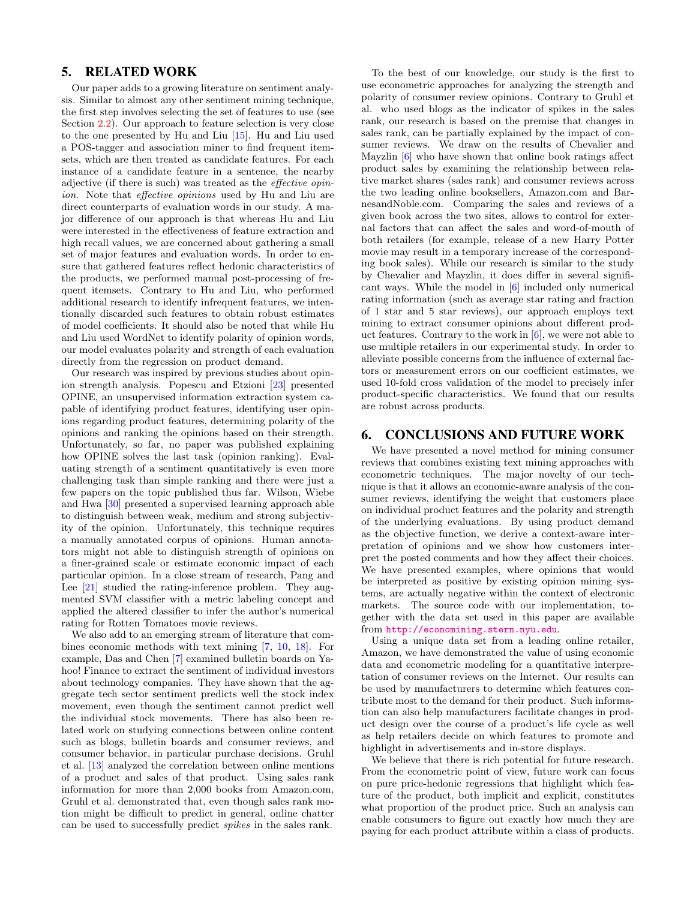## <span id="page-8-0"></span>5. RELATED WORK

Our paper adds to a growing literature on sentiment analysis. Similar to almost any other sentiment mining technique, the first step involves selecting the set of features to use (see Section [2.2\)](#page-1-3). Our approach to feature selection is very close to the one presented by Hu and Liu [\[15\]](#page-9-4). Hu and Liu used a POS-tagger and association miner to find frequent itemsets, which are then treated as candidate features. For each instance of a candidate feature in a sentence, the nearby adjective (if there is such) was treated as the effective opinion. Note that effective opinions used by Hu and Liu are direct counterparts of evaluation words in our study. A major difference of our approach is that whereas Hu and Liu were interested in the effectiveness of feature extraction and high recall values, we are concerned about gathering a small set of major features and evaluation words. In order to ensure that gathered features reflect hedonic characteristics of the products, we performed manual post-processing of frequent itemsets. Contrary to Hu and Liu, who performed additional research to identify infrequent features, we intentionally discarded such features to obtain robust estimates of model coefficients. It should also be noted that while Hu and Liu used WordNet to identify polarity of opinion words, our model evaluates polarity and strength of each evaluation directly from the regression on product demand.

Our research was inspired by previous studies about opinion strength analysis. Popescu and Etzioni [\[23\]](#page-9-13) presented OPINE, an unsupervised information extraction system capable of identifying product features, identifying user opinions regarding product features, determining polarity of the opinions and ranking the opinions based on their strength. Unfortunately, so far, no paper was published explaining how OPINE solves the last task (opinion ranking). Evaluating strength of a sentiment quantitatively is even more challenging task than simple ranking and there were just a few papers on the topic published thus far. Wilson, Wiebe and Hwa [\[30\]](#page-9-26) presented a supervised learning approach able to distinguish between weak, medium and strong subjectivity of the opinion. Unfortunately, this technique requires a manually annotated corpus of opinions. Human annotators might not able to distinguish strength of opinions on a finer-grained scale or estimate economic impact of each particular opinion. In a close stream of research, Pang and Lee [\[21\]](#page-9-27) studied the rating-inference problem. They augmented SVM classifier with a metric labeling concept and applied the altered classifier to infer the author's numerical rating for Rotten Tomatoes movie reviews.

We also add to an emerging stream of literature that combines economic methods with text mining [\[7,](#page-9-3) [10,](#page-9-28) [18\]](#page-9-29). For example, Das and Chen [\[7\]](#page-9-3) examined bulletin boards on Yahoo! Finance to extract the sentiment of individual investors about technology companies. They have shown that the aggregate tech sector sentiment predicts well the stock index movement, even though the sentiment cannot predict well the individual stock movements. There has also been related work on studying connections between online content such as blogs, bulletin boards and consumer reviews, and consumer behavior, in particular purchase decisions. Gruhl et al. [\[13\]](#page-9-30) analyzed the correlation between online mentions of a product and sales of that product. Using sales rank information for more than 2,000 books from Amazon.com, Gruhl et al. demonstrated that, even though sales rank motion might be difficult to predict in general, online chatter can be used to successfully predict spikes in the sales rank.

To the best of our knowledge, our study is the first to use econometric approaches for analyzing the strength and polarity of consumer review opinions. Contrary to Gruhl et al. who used blogs as the indicator of spikes in the sales rank, our research is based on the premise that changes in sales rank, can be partially explained by the impact of consumer reviews. We draw on the results of Chevalier and Mayzlin [\[6\]](#page-9-0) who have shown that online book ratings affect product sales by examining the relationship between relative market shares (sales rank) and consumer reviews across the two leading online booksellers, Amazon.com and BarnesandNoble.com. Comparing the sales and reviews of a given book across the two sites, allows to control for external factors that can affect the sales and word-of-mouth of both retailers (for example, release of a new Harry Potter movie may result in a temporary increase of the corresponding book sales). While our research is similar to the study by Chevalier and Mayzlin, it does differ in several significant ways. While the model in [\[6\]](#page-9-0) included only numerical rating information (such as average star rating and fraction of 1 star and 5 star reviews), our approach employs text mining to extract consumer opinions about different product features. Contrary to the work in [\[6\]](#page-9-0), we were not able to use multiple retailers in our experimental study. In order to alleviate possible concerns from the influence of external factors or measurement errors on our coefficient estimates, we used 10-fold cross validation of the model to precisely infer product-specific characteristics. We found that our results are robust across products.

#### <span id="page-8-1"></span>6. CONCLUSIONS AND FUTURE WORK

We have presented a novel method for mining consumer reviews that combines existing text mining approaches with econometric techniques. The major novelty of our technique is that it allows an economic-aware analysis of the consumer reviews, identifying the weight that customers place on individual product features and the polarity and strength of the underlying evaluations. By using product demand as the objective function, we derive a context-aware interpretation of opinions and we show how customers interpret the posted comments and how they affect their choices. We have presented examples, where opinions that would be interpreted as positive by existing opinion mining systems, are actually negative within the context of electronic markets. The source code with our implementation, together with the data set used in this paper are available from <http://economining.stern.nyu.edu>.

Using a unique data set from a leading online retailer, Amazon, we have demonstrated the value of using economic data and econometric modeling for a quantitative interpretation of consumer reviews on the Internet. Our results can be used by manufacturers to determine which features contribute most to the demand for their product. Such information can also help manufacturers facilitate changes in product design over the course of a product's life cycle as well as help retailers decide on which features to promote and highlight in advertisements and in-store displays.

We believe that there is rich potential for future research. From the econometric point of view, future work can focus on pure price-hedonic regressions that highlight which feature of the product, both implicit and explicit, constitutes what proportion of the product price. Such an analysis can enable consumers to figure out exactly how much they are paying for each product attribute within a class of products.